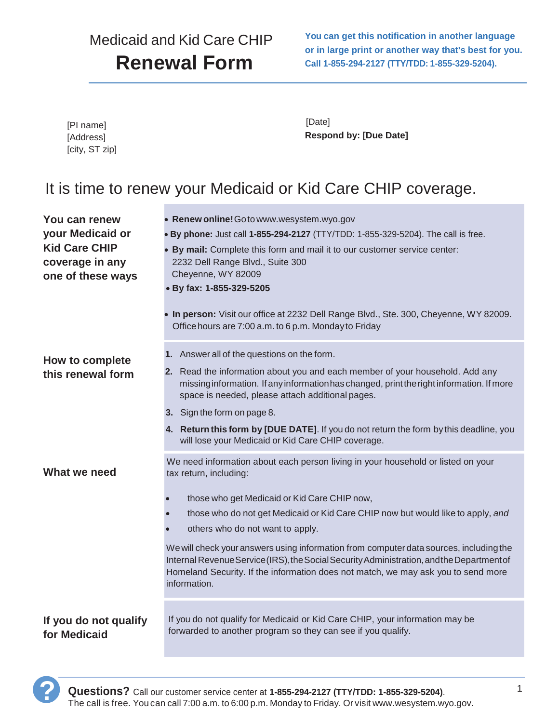# Medicaid and Kid Care CHIP **Renewal Form**

**You can get this notification in another language or in large print or another way that's best for you. Call 1-855-294-2127 (TTY/TDD: 1-855-329-5204).**

| [PI name]      |  |
|----------------|--|
| [Address]      |  |
| [city, ST zip] |  |

[Date] **Respond by: [Due Date]**

## It is time to renew your Medicaid or Kid Care CHIP coverage.

| You can renew                         | • Renew online! Go to www.wesystem.wyo.gov                                                                                                                                                                                                                                               |
|---------------------------------------|------------------------------------------------------------------------------------------------------------------------------------------------------------------------------------------------------------------------------------------------------------------------------------------|
| your Medicaid or                      | . By phone: Just call 1-855-294-2127 (TTY/TDD: 1-855-329-5204). The call is free.                                                                                                                                                                                                        |
| <b>Kid Care CHIP</b>                  | • By mail: Complete this form and mail it to our customer service center:                                                                                                                                                                                                                |
| coverage in any                       | 2232 Dell Range Blvd., Suite 300                                                                                                                                                                                                                                                         |
| one of these ways                     | Cheyenne, WY 82009                                                                                                                                                                                                                                                                       |
|                                       | • By fax: 1-855-329-5205                                                                                                                                                                                                                                                                 |
|                                       | . In person: Visit our office at 2232 Dell Range Blvd., Ste. 300, Cheyenne, WY 82009.<br>Office hours are 7:00 a.m. to 6 p.m. Monday to Friday                                                                                                                                           |
| How to complete                       | 1. Answer all of the questions on the form.                                                                                                                                                                                                                                              |
| this renewal form                     | 2. Read the information about you and each member of your household. Add any<br>missing information. If any information has changed, print the right information. If more<br>space is needed, please attach additional pages.                                                            |
|                                       | 3. Sign the form on page 8.                                                                                                                                                                                                                                                              |
|                                       | 4. Return this form by [DUE DATE]. If you do not return the form by this deadline, you<br>will lose your Medicaid or Kid Care CHIP coverage.                                                                                                                                             |
| What we need                          | We need information about each person living in your household or listed on your<br>tax return, including:                                                                                                                                                                               |
|                                       | those who get Medicaid or Kid Care CHIP now,                                                                                                                                                                                                                                             |
|                                       | those who do not get Medicaid or Kid Care CHIP now but would like to apply, and                                                                                                                                                                                                          |
|                                       | others who do not want to apply.                                                                                                                                                                                                                                                         |
|                                       | We will check your answers using information from computer data sources, including the<br>Internal Revenue Service (IRS), the Social Security Administration, and the Department of<br>Homeland Security. If the information does not match, we may ask you to send more<br>information. |
| If you do not qualify<br>for Medicaid | If you do not qualify for Medicaid or Kid Care CHIP, your information may be<br>forwarded to another program so they can see if you qualify.                                                                                                                                             |

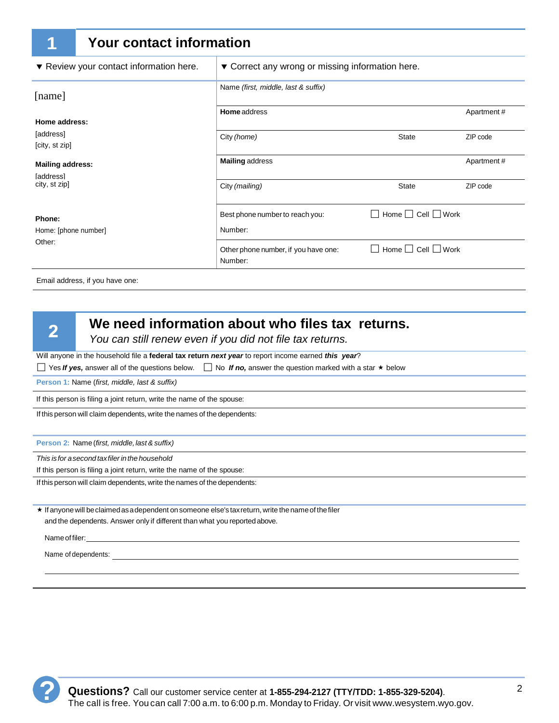|                             | <b>Your contact information</b>         |                                                  |                              |            |  |
|-----------------------------|-----------------------------------------|--------------------------------------------------|------------------------------|------------|--|
|                             | ▼ Review your contact information here. | ▼ Correct any wrong or missing information here. |                              |            |  |
| [name]                      |                                         | Name (first, middle, last & suffix)              |                              |            |  |
| Home address:               |                                         | <b>Home</b> address                              |                              | Apartment# |  |
| [address]<br>[city, st zip] |                                         | City (home)                                      | <b>State</b>                 | ZIP code   |  |
| <b>Mailing address:</b>     |                                         | <b>Mailing address</b>                           |                              | Apartment# |  |
| city, st zip]               |                                         | City (mailing)                                   | <b>State</b>                 | ZIP code   |  |
| Phone:                      |                                         | Best phone number to reach you:                  | Home $\Box$ Cell $\Box$ Work |            |  |
| Home: [phone number]        |                                         | Number:                                          |                              |            |  |
|                             |                                         | Other phone number, if you have one:<br>Number:  | Home $\Box$ Cell $\Box$ Work |            |  |
| <b>faddress1</b><br>Other:  |                                         |                                                  |                              |            |  |

Email address, if you have one:

 $\overline{2}$ 

#### **We need information about who files tax returns.**

*You can still renew even if you did not file tax returns.*

Will anyone in the household file a **federal tax return** *next year* to report income earned *this year*?

 $\Box$  Yes *If yes,* answer all of the questions below.  $\Box$  No *If no,* answer the question marked with a star  $\star$  below

**Person 1:** Name (*first, middle, last & suffix)*

If this person is filing a joint return, write the name of the spouse:

If this person will claim dependents, write the names of the dependents:

**Person 2:** Name (*first, middle, last & suffix)* 

*This is for a second tax filer in the household*

If this person is filing a joint return, write the name of the spouse:

If this person will claim dependents, write the names of the dependents:

 $\star$  If anyone will be claimed as a dependent on someone else's tax return, write the name of the filer and the dependents. Answer only if different than what you reported above.

Name of filer:

Name of dependents:

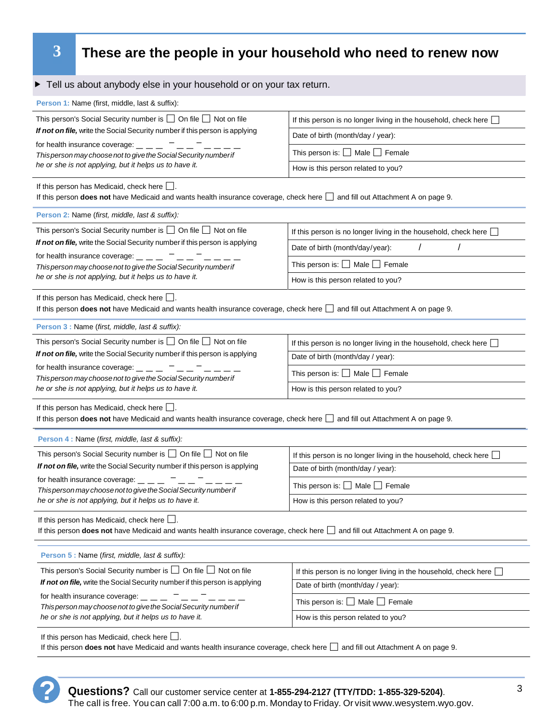## **3 These are the people in your household who need to renew now**

| Tell us about anybody else in your household or on your tax return.                                                                                                                         |                                                                        |  |  |  |
|---------------------------------------------------------------------------------------------------------------------------------------------------------------------------------------------|------------------------------------------------------------------------|--|--|--|
| Person 1: Name (first, middle, last & suffix):                                                                                                                                              |                                                                        |  |  |  |
| This person's Social Security number is $\Box$ On file $\Box$ Not on file                                                                                                                   | If this person is no longer living in the household, check here        |  |  |  |
| If not on file, write the Social Security number if this person is applying<br>for health insurance coverage: $\_$ $\_$<br>This person may choose not to give the Social Security number if | Date of birth (month/day / year):                                      |  |  |  |
|                                                                                                                                                                                             | This person is: $\Box$ Male $\Box$ Female                              |  |  |  |
| he or she is not applying, but it helps us to have it.                                                                                                                                      | How is this person related to you?                                     |  |  |  |
| If this person has Medicaid, check here $\Box$ .<br>If this person does not have Medicaid and wants health insurance coverage, check here and fill out Attachment A on page 9.              |                                                                        |  |  |  |
| Person 2: Name (first, middle, last & suffix):                                                                                                                                              |                                                                        |  |  |  |
| This person's Social Security number is $\Box$ On file $\Box$ Not on file                                                                                                                   | If this person is no longer living in the household, check here        |  |  |  |
| If not on file, write the Social Security number if this person is applying<br>for health insurance coverage: $\_ - \_ - \_$ $\_$                                                           | Date of birth (month/day/year):                                        |  |  |  |
| This person may choose not to give the Social Security number if                                                                                                                            | This person is: □ Male □ Female                                        |  |  |  |
| he or she is not applying, but it helps us to have it.                                                                                                                                      | How is this person related to you?                                     |  |  |  |
| If this person has Medicaid, check here $\Box$ .<br>If this person <b>does not</b> have Medicaid and wants health insurance coverage, check here and fill out Attachment A on page 9.       |                                                                        |  |  |  |
| Person 3 : Name (first, middle, last & suffix):                                                                                                                                             |                                                                        |  |  |  |
| This person's Social Security number is $\Box$ On file $\Box$ Not on file                                                                                                                   | If this person is no longer living in the household, check here        |  |  |  |
| If not on file, write the Social Security number if this person is applying                                                                                                                 | Date of birth (month/day / year):                                      |  |  |  |
| for health insurance coverage: $\_$ $\_$ $\_$ $\_$ $\_$ $\_$<br>This person may choose not to give the Social Security number if                                                            | This person is: $\Box$ Male $\Box$ Female                              |  |  |  |
| he or she is not applying, but it helps us to have it.                                                                                                                                      | How is this person related to you?                                     |  |  |  |
| If this person has Medicaid, check here $\Box$ .<br>If this person <b>does not</b> have Medicaid and wants health insurance coverage, check here   and fill out Attachment A on page 9.     |                                                                        |  |  |  |
| Person 4 : Name (first, middle, last & suffix):                                                                                                                                             |                                                                        |  |  |  |
| This person's Social Security number is $\Box$ On file $\Box$ Not on file                                                                                                                   | If this person is no longer living in the household, check here $\Box$ |  |  |  |
| If not on file, write the Social Security number if this person is applying                                                                                                                 | Date of birth (month/day / year):                                      |  |  |  |
| for health insurance coverage: $\_$ $\_$ $\_$ $\_$ $\_$<br>This person may choose not to give the Social Security number if                                                                 | This person is: $\square$ Male $\square$ Female                        |  |  |  |
| he or she is not applying, but it helps us to have it.                                                                                                                                      | How is this person related to you?                                     |  |  |  |
| If this person has Medicaid, check here $\Box$ .<br>If this person does not have Medicaid and wants health insurance coverage, check here and fill out Attachment A on page 9.              |                                                                        |  |  |  |
| Person 5 : Name (first, middle, last & suffix):                                                                                                                                             |                                                                        |  |  |  |
| This person's Social Security number is $\Box$ On file $\Box$ Not on file                                                                                                                   | If this person is no longer living in the household, check here        |  |  |  |
| If not on file, write the Social Security number if this person is applying                                                                                                                 | Date of birth (month/day / year):                                      |  |  |  |
| for health insurance coverage: $\_$ $\_$<br>This person is: $\Box$ Male $\Box$ Female                                                                                                       |                                                                        |  |  |  |
| This person may choose not to give the Social Security number if<br>he or she is not applying, but it helps us to have it.                                                                  | How is this person related to you?                                     |  |  |  |
| If this person has Medicaid, check here $\Box$ .<br>If this person does not have Medicaid and wants health insurance coverage, check here<br>and fill out Attachment A on page 9.           |                                                                        |  |  |  |

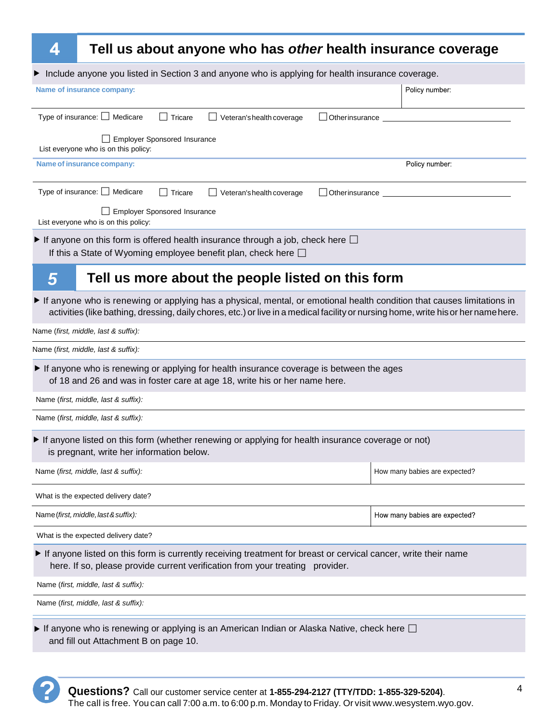#### **Tell us about anyone who has** *other* **health insurance coverage**

| Tell us about anyone who has <i>other</i> nearth msurance coverage                                                                                                                                                                                           |                               |
|--------------------------------------------------------------------------------------------------------------------------------------------------------------------------------------------------------------------------------------------------------------|-------------------------------|
| Include anyone you listed in Section 3 and anyone who is applying for health insurance coverage.                                                                                                                                                             |                               |
| Name of insurance company:                                                                                                                                                                                                                                   | Policy number:                |
| Type of insurance: □ Medicare<br>Tricare<br>Veteran's health coverage<br>$\perp$<br>_l Otherinsurance                                                                                                                                                        |                               |
| Employer Sponsored Insurance<br>List everyone who is on this policy:                                                                                                                                                                                         |                               |
| Name of insurance company:                                                                                                                                                                                                                                   | Policy number:                |
| Type of insurance: □ Medicare<br>Tricare<br>Veteran's health coverage<br>Otherinsurance                                                                                                                                                                      |                               |
| Employer Sponsored Insurance<br>List everyone who is on this policy:                                                                                                                                                                                         |                               |
| If anyone on this form is offered health insurance through a job, check here $\square$<br>If this a State of Wyoming employee benefit plan, check here $\square$                                                                                             |                               |
| Tell us more about the people listed on this form<br>$\overline{5}$                                                                                                                                                                                          |                               |
| If anyone who is renewing or applying has a physical, mental, or emotional health condition that causes limitations in<br>activities (like bathing, dressing, daily chores, etc.) or live in a medical facility or nursing home, write his or her name here. |                               |
| Name (first, middle, last & suffix):                                                                                                                                                                                                                         |                               |
| Name (first, middle, last & suffix):                                                                                                                                                                                                                         |                               |
| If anyone who is renewing or applying for health insurance coverage is between the ages<br>of 18 and 26 and was in foster care at age 18, write his or her name here.                                                                                        |                               |
| Name (first, middle, last & suffix):                                                                                                                                                                                                                         |                               |
| Name (first, middle, last & suffix):                                                                                                                                                                                                                         |                               |
| If anyone listed on this form (whether renewing or applying for health insurance coverage or not)<br>is pregnant, write her information below.                                                                                                               |                               |
| Name (first, middle, last & suffix):                                                                                                                                                                                                                         | How many babies are expected? |
| What is the expected delivery date?                                                                                                                                                                                                                          |                               |
| Name (first, middle, last & suffix):                                                                                                                                                                                                                         | How many babies are expected? |
| What is the expected delivery date?                                                                                                                                                                                                                          |                               |
| If anyone listed on this form is currently receiving treatment for breast or cervical cancer, write their name<br>here. If so, please provide current verification from your treating provider.                                                              |                               |
| Name (first, middle, last & suffix):                                                                                                                                                                                                                         |                               |
| Name (first, middle, last & suffix):                                                                                                                                                                                                                         |                               |
|                                                                                                                                                                                                                                                              |                               |

 $\blacktriangleright$  If anyone who is renewing or applying is an American Indian or Alaska Native, check here  $\Box$ and fill out Attachment B on page 10.

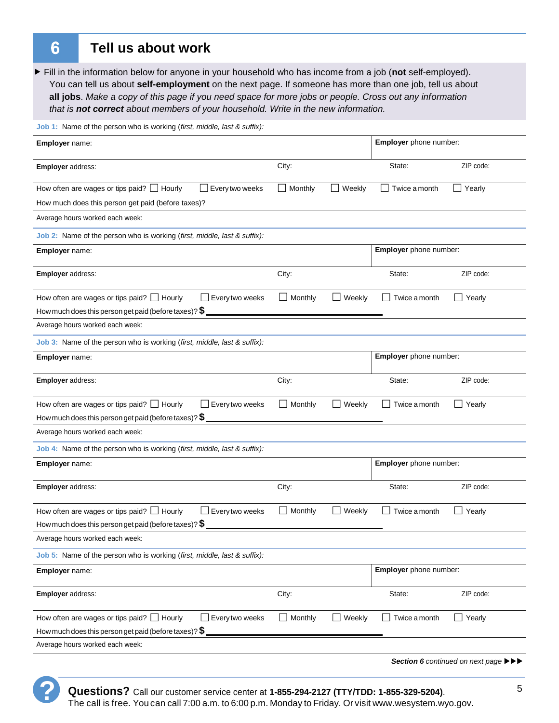$6\phantom{1}6$ 

#### **Tell us about work**

Fill in the information below for anyone in your household who has income from a job (not self-employed). You can tell us about **self-employment** on the next page. If someone has more than one job, tell us about **all jobs**. *Make a copy of this page if you need space for more jobs or people. Cross out any information that is not correct about members of your household. Write in the new information.*

**Job 1:** Name of the person who is working (*first, middle, last & suffix):*

| Employer name:                                                                                                                                | Employer phone number:   |                               |                                                                                                |
|-----------------------------------------------------------------------------------------------------------------------------------------------|--------------------------|-------------------------------|------------------------------------------------------------------------------------------------|
| <b>Employer address:</b>                                                                                                                      | City:                    | State:                        | ZIP code:                                                                                      |
| How often are wages or tips paid? $\Box$ Hourly<br>Every two weeks                                                                            | Monthly<br>Weekly        | Twice a month                 | Yearly                                                                                         |
| How much does this person get paid (before taxes)?                                                                                            |                          |                               |                                                                                                |
| Average hours worked each week:                                                                                                               |                          |                               |                                                                                                |
| Job 2: Name of the person who is working (first, middle, last & suffix):                                                                      |                          |                               |                                                                                                |
| Employer name:                                                                                                                                |                          | Employer phone number:        |                                                                                                |
| Employer address:                                                                                                                             | City:                    | State:                        | ZIP code:                                                                                      |
| How often are wages or tips paid? $\Box$ Hourly<br>$\Box$ Every two weeks<br>How much does this person get paid (before taxes)? $\$$          | Monthly<br>Weekly        | Twice a month                 | Yearly                                                                                         |
| Average hours worked each week:                                                                                                               |                          |                               |                                                                                                |
| Job 3: Name of the person who is working (first, middle, last & suffix):                                                                      |                          |                               |                                                                                                |
| Employer name:                                                                                                                                |                          | Employer phone number:        |                                                                                                |
| Employer address:                                                                                                                             | City:                    | State:                        | ZIP code:                                                                                      |
| How often are wages or tips paid? $\Box$ Hourly<br>$\Box$ Every two weeks<br>How much does this person get paid (before taxes)? $\$$          | $\Box$ Monthly<br>Weekly | Twice a month                 | Yearly                                                                                         |
| Average hours worked each week:                                                                                                               |                          |                               |                                                                                                |
| Job 4: Name of the person who is working (first, middle, last & suffix):                                                                      |                          |                               |                                                                                                |
| Employer name:                                                                                                                                |                          | Employer phone number:        |                                                                                                |
| Employer address:                                                                                                                             | City:                    | State:                        | ZIP code:                                                                                      |
| How often are wages or tips paid? $\Box$ Hourly<br>$\Box$ Every two weeks<br>How much does this person get paid (before taxes)? $\frac{1}{2}$ | Weekly<br>$\Box$ Monthly | Twice a month                 | Yearly                                                                                         |
| Average hours worked each week:                                                                                                               |                          |                               |                                                                                                |
| Job 5: Name of the person who is working (first, middle, last & suffix):                                                                      |                          |                               |                                                                                                |
| Employer name:                                                                                                                                |                          | <b>Employer</b> phone number: |                                                                                                |
| <b>Employer</b> address:                                                                                                                      | City:                    | State:                        | ZIP code:                                                                                      |
| How often are wages or tips paid? $\Box$ Hourly<br>$\Box$ Every two weeks                                                                     | $\Box$ Monthly<br>Weekly | Twice a month                 | $\Box$ Yearly                                                                                  |
| How much does this person get paid (before taxes)? $\$$                                                                                       |                          |                               |                                                                                                |
| Average hours worked each week:                                                                                                               |                          |                               |                                                                                                |
|                                                                                                                                               |                          |                               | Section 6 continued on next page $\blacktriangleright \blacktriangleright \blacktriangleright$ |

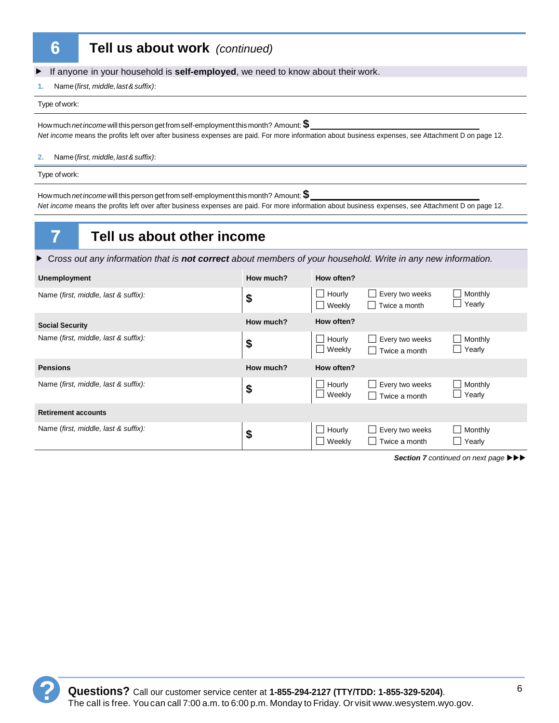#### **Tell us about work** *(continued)*

**F** If anyone in your household is **self-employed**, we need to know about their work.

**1.** Name (*first, middle, last & suffix)*:

Type of work:

How much *net income* will this person get from self-employment this month? Amount: **\$**  *Net income* means the profits left over after business expenses are paid. For more information about business expenses, see Attachment D on page 12.

**2.** Name (*first, middle, last & suffix)*:

Type of work:

7

How much *net income* will this person get from self-employment this month? Amount: **\$**  *Net income* means the profits left over after business expenses are paid. For more information about business expenses, see Attachment D on page 12.

## **Tell us about other income**

f C*ross out any information that is not correct about members of your household. Write in any new information.*

| <b>Unemployment</b>                  | How much? | How often?                 |                                                         |                   |
|--------------------------------------|-----------|----------------------------|---------------------------------------------------------|-------------------|
| Name (first, middle, last & suffix): | \$        | $\Box$ Hourly<br>Weekly    | Every two weeks<br>$\mathbf{I}$<br>$\Box$ Twice a month | Monthly<br>Yearly |
| <b>Social Security</b>               | How much? | How often?                 |                                                         |                   |
| Name (first, middle, last & suffix): | \$        | Hourly<br>$\Box$<br>Weekly | Every two weeks<br>Twice a month                        | Monthly<br>Yearly |
| <b>Pensions</b>                      | How much? | How often?                 |                                                         |                   |
| Name (first, middle, last & suffix): | \$        | Hourly<br>- 1<br>Weekly    | Every two weeks<br>Twice a month                        | Monthly<br>Yearly |
| <b>Retirement accounts</b>           |           |                            |                                                         |                   |
| Name (first, middle, last & suffix): | \$        | Hourly<br>$\Box$<br>Weekly | Every two weeks<br>Twice a month<br><b>I</b>            | Monthly<br>Yearly |

**Section 7** continued on next page  $\blacktriangleright \blacktriangleright \blacktriangleright$ 

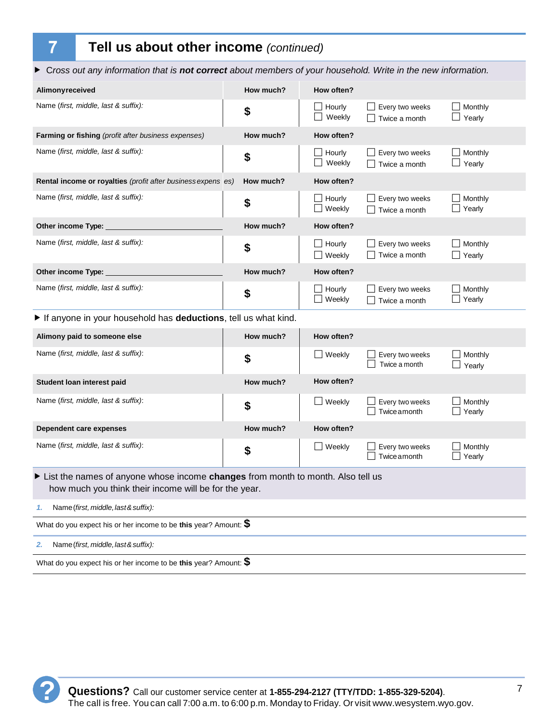# **Tell us about other income** *(continued)*

▶ Cross out any information that is **not correct** about members of your household. Write in the new information.

| Alimonyreceived                                                                                                                            | How much? | How often?                 |                                  |                             |  |  |
|--------------------------------------------------------------------------------------------------------------------------------------------|-----------|----------------------------|----------------------------------|-----------------------------|--|--|
| Name (first, middle, last & suffix):                                                                                                       | \$        | Hourly<br>Weekly           | Every two weeks<br>Twice a month | Monthly<br>Yearly           |  |  |
| Farming or fishing (profit after business expenses)                                                                                        | How much? | How often?                 |                                  |                             |  |  |
| Name (first, middle, last & suffix):                                                                                                       | \$        | Hourly<br>Weekly           | Every two weeks<br>Twice a month | Monthly<br>Yearly           |  |  |
| Rental income or royalties (profit after business expens es)                                                                               | How much? | How often?                 |                                  |                             |  |  |
| Name (first, middle, last & suffix):                                                                                                       | \$        | Hourly<br>$\Box$<br>Weekly | Every two weeks<br>Twice a month | Monthly<br>Yearly           |  |  |
| Other income Type:                                                                                                                         | How much? | How often?                 |                                  |                             |  |  |
| Name (first, middle, last & suffix):                                                                                                       | \$        | Hourly<br>$\Box$ Weekly    | Every two weeks<br>Twice a month | Monthly<br>$\Box$ Yearly    |  |  |
| Other income Type:                                                                                                                         | How much? | How often?                 |                                  |                             |  |  |
| Name (first, middle, last & suffix):                                                                                                       | \$        | Hourly<br>Weekly           | Every two weeks<br>Twice a month | Monthly<br>Yearly           |  |  |
| If anyone in your household has deductions, tell us what kind.                                                                             |           |                            |                                  |                             |  |  |
| Alimony paid to someone else                                                                                                               | How much? | How often?                 |                                  |                             |  |  |
| Name (first, middle, last & suffix):                                                                                                       | \$        | $\Box$ Weekly              | Every two weeks<br>Twice a month | Monthly<br>$\Box$ Yearly    |  |  |
| Student Ioan interest paid                                                                                                                 | How much? | How often?                 |                                  |                             |  |  |
| Name (first, middle, last & suffix):                                                                                                       | \$        | $\Box$ Weekly              | Every two weeks<br>Twice amonth  | Monthly<br>Yearly           |  |  |
| Dependent care expenses                                                                                                                    | How much? | How often?                 |                                  |                             |  |  |
| Name (first, middle, last & suffix):                                                                                                       | \$        | $\Box$ Weekly              | Every two weeks<br>Twice amonth  | Monthly<br>$\Box$<br>Yearly |  |  |
| ► List the names of anyone whose income changes from month to month. Also tell us<br>how much you think their income will be for the year. |           |                            |                                  |                             |  |  |
| Name (first, middle, last & suffix):<br>1.                                                                                                 |           |                            |                                  |                             |  |  |
| What do you expect his or her income to be this year? Amount: $\$$                                                                         |           |                            |                                  |                             |  |  |
| Name (first, middle, last & suffix):<br>2.                                                                                                 |           |                            |                                  |                             |  |  |
| What do you expect his or her income to be this year? Amount: $\$$                                                                         |           |                            |                                  |                             |  |  |



 $\overline{7}$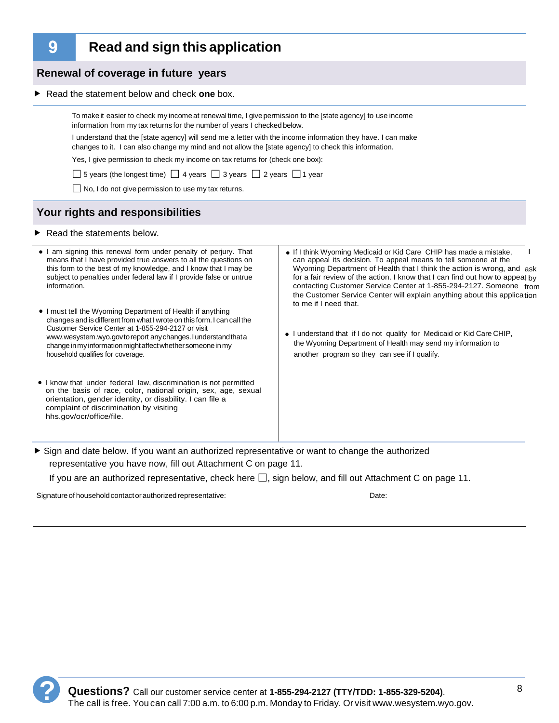9

#### **Read and sign this application**

information from my tax returns for the number of years I checked below.

**F** Read the statement below and check one box.

**Renewal of coverage in future years**

|                                                                                                                                                                                                                                                                                                                                                                  | Yes, I give permission to check my income on tax returns for (check one box):                                                                                                                                                                                                                                                                                                                                                                                              |  |  |  |  |  |
|------------------------------------------------------------------------------------------------------------------------------------------------------------------------------------------------------------------------------------------------------------------------------------------------------------------------------------------------------------------|----------------------------------------------------------------------------------------------------------------------------------------------------------------------------------------------------------------------------------------------------------------------------------------------------------------------------------------------------------------------------------------------------------------------------------------------------------------------------|--|--|--|--|--|
| $\Box$ 5 years (the longest time) $\Box$ 4 years $\Box$ 3 years $\Box$ 2 years $\Box$ 1 year                                                                                                                                                                                                                                                                     |                                                                                                                                                                                                                                                                                                                                                                                                                                                                            |  |  |  |  |  |
| $\Box$ No, I do not give permission to use my tax returns.                                                                                                                                                                                                                                                                                                       |                                                                                                                                                                                                                                                                                                                                                                                                                                                                            |  |  |  |  |  |
| Your rights and responsibilities                                                                                                                                                                                                                                                                                                                                 |                                                                                                                                                                                                                                                                                                                                                                                                                                                                            |  |  |  |  |  |
| $\blacktriangleright$ Read the statements below.                                                                                                                                                                                                                                                                                                                 |                                                                                                                                                                                                                                                                                                                                                                                                                                                                            |  |  |  |  |  |
| • I am signing this renewal form under penalty of perjury. That<br>means that I have provided true answers to all the questions on<br>this form to the best of my knowledge, and I know that I may be<br>subject to penalties under federal law if I provide false or untrue<br>information.                                                                     | • If I think Wyoming Medicaid or Kid Care CHIP has made a mistake,<br>can appeal its decision. To appeal means to tell someone at the<br>Wyoming Department of Health that I think the action is wrong, and ask<br>for a fair review of the action. I know that I can find out how to appeal by<br>contacting Customer Service Center at 1-855-294-2127. Someone from<br>the Customer Service Center will explain anything about this application<br>to me if I need that. |  |  |  |  |  |
| • I must tell the Wyoming Department of Health if anything<br>changes and is different from what I wrote on this form. I can call the<br>Customer Service Center at 1-855-294-2127 or visit<br>www.wesystem.wyo.govtoreport any changes. I understand that a<br>change in my information might affect whether someone in my<br>household qualifies for coverage. | • I understand that if I do not qualify for Medicaid or Kid Care CHIP,<br>the Wyoming Department of Health may send my information to<br>another program so they can see if I qualify.                                                                                                                                                                                                                                                                                     |  |  |  |  |  |
| • I know that under federal law, discrimination is not permitted<br>on the basis of race, color, national origin, sex, age, sexual<br>orientation, gender identity, or disability. I can file a<br>complaint of discrimination by visiting<br>hhs.gov/ocr/office/file.                                                                                           |                                                                                                                                                                                                                                                                                                                                                                                                                                                                            |  |  |  |  |  |

To make it easier to check my income at renewal time, I give permission to the [state agency] to use income

I understand that the [state agency] will send me a letter with the income information they have. I can make changes to it. I can also change my mind and not allow the [state agency] to check this information.

f Sign and date below. If you want an authorized representative or want to change the authorized representative you have now, fill out Attachment C on page 11.

If you are an authorized representative, check here  $\Box$ , sign below, and fill out Attachment C on page 11.

Signature of household contact or authorized representative: **Date:** Date: Date: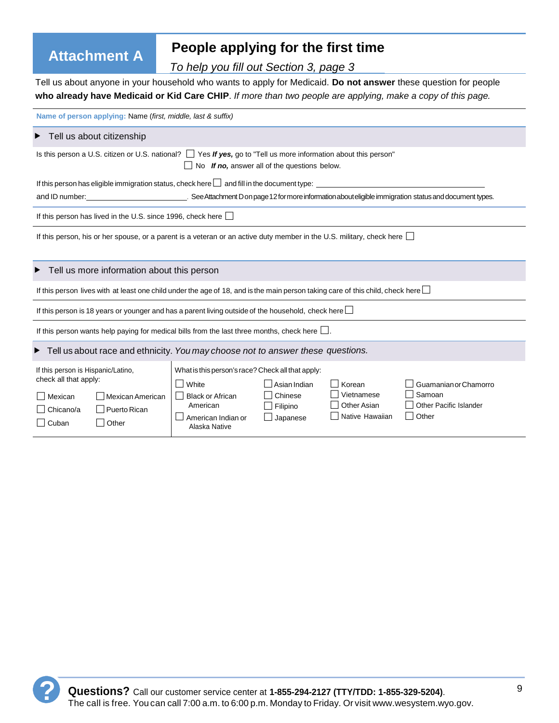# **Attachment A People applying for the first time**

*To help you fill out Section 3, page 3*

Tell us about anyone in your household who wants to apply for Medicaid. **Do not answer** these question for people **who already have Medicaid or Kid Care CHIP**. *If more than two people are applying, make a copy of this page.*

| Name of person applying: Name (first, middle, last & suffix)                                                                                                                        |                                                     |                      |                                       |                                        |  |
|-------------------------------------------------------------------------------------------------------------------------------------------------------------------------------------|-----------------------------------------------------|----------------------|---------------------------------------|----------------------------------------|--|
| $\blacktriangleright$ Tell us about citizenship                                                                                                                                     |                                                     |                      |                                       |                                        |  |
| Is this person a U.S. citizen or U.S. national? $\Box$ Yes If yes, go to "Tell us more information about this person"                                                               | $\Box$ No If no, answer all of the questions below. |                      |                                       |                                        |  |
| If this person has eligible immigration status, check here $\Box$ and fill in the document type:                                                                                    |                                                     |                      |                                       |                                        |  |
| and ID number: example of the See Attachment D on page 12 for more information about eligible immigration status and document types.                                                |                                                     |                      |                                       |                                        |  |
| If this person has lived in the U.S. since 1996, check here $\Box$                                                                                                                  |                                                     |                      |                                       |                                        |  |
| If this person, his or her spouse, or a parent is a veteran or an active duty member in the U.S. military, check here                                                               |                                                     |                      |                                       |                                        |  |
| Tell us more information about this person                                                                                                                                          |                                                     |                      |                                       |                                        |  |
| If this person lives with at least one child under the age of 18, and is the main person taking care of this child, check here $\Box$                                               |                                                     |                      |                                       |                                        |  |
| If this person is 18 years or younger and has a parent living outside of the household, check here $\Box$                                                                           |                                                     |                      |                                       |                                        |  |
| If this person wants help paying for medical bills from the last three months, check here $\Box$ .                                                                                  |                                                     |                      |                                       |                                        |  |
| $\blacktriangleright$ Tell us about race and ethnicity. You may choose not to answer these questions.                                                                               |                                                     |                      |                                       |                                        |  |
| If this person is Hispanic/Latino,<br>What is this person's race? Check all that apply:<br>check all that apply:<br>$\Box$ White<br>Asian Indian<br>Guamanian or Chamorro<br>Korean |                                                     |                      |                                       |                                        |  |
| Mexican<br>l Mexican American                                                                                                                                                       | □ Black or African                                  | Chinese              | Vietnamese                            | Samoan                                 |  |
| Puerto Rican<br>Chicano/a                                                                                                                                                           | American<br>American Indian or                      | Filipino<br>Japanese | <b>Other Asian</b><br>Native Hawaiian | <b>Other Pacific Islander</b><br>Other |  |
| $\Box$ Cuban<br>$\Box$ Other                                                                                                                                                        | Alaska Native                                       |                      |                                       |                                        |  |

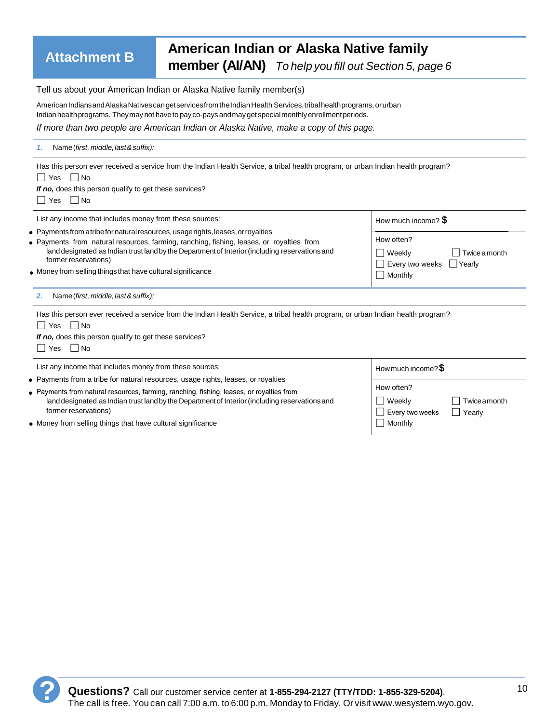## **Attachment B American Indian or Alaska Native family member (AI/AN)** *To help you fill out Section 5, page 6*

Tell us about your American Indian or Alaska Native family member(s)

American Indians and Alaska Natives can get services from the Indian Health Services, tribal health programs, or urban Indian health programs. They may not have to pay co-pays and may get special monthly enrollment periods.

*If more than two people are American Indian or Alaska Native, make a copy of this page.*

| Name (first, middle, last & suffix):                                                                                                                                                                                                                                                                                                                                           |                                                                                     |
|--------------------------------------------------------------------------------------------------------------------------------------------------------------------------------------------------------------------------------------------------------------------------------------------------------------------------------------------------------------------------------|-------------------------------------------------------------------------------------|
| Has this person ever received a service from the Indian Health Service, a tribal health program, or urban Indian health program?<br>Yes No<br>If no, does this person qualify to get these services?<br>$Yes$ Mo                                                                                                                                                               |                                                                                     |
| List any income that includes money from these sources:                                                                                                                                                                                                                                                                                                                        | How much income? $$$                                                                |
| $\bullet$ Payments from a tribe for natural resources, usage rights, leases, or royalties<br>• Payments from natural resources, farming, ranching, fishing, leases, or royalties from<br>land designated as Indian trust land by the Department of Interior (including reservations and<br>former reservations)<br>. Money from selling things that have cultural significance | How often?<br>Weekly<br>Twice a month<br>Every two weeks Livearly<br>$\Box$ Monthly |
| Name (first, middle, last & suffix):<br>2.                                                                                                                                                                                                                                                                                                                                     |                                                                                     |
| Has this person ever received a service from the Indian Health Service, a tribal health program, or urban Indian health program?<br>Yes IINo<br>If no, does this person qualify to get these services?<br>Yes $\Box$ No                                                                                                                                                        |                                                                                     |
| List any income that includes money from these sources:                                                                                                                                                                                                                                                                                                                        | How much income? $$$                                                                |
| • Payments from a tribe for natural resources, usage rights, leases, or royalties                                                                                                                                                                                                                                                                                              | How often?                                                                          |
| • Payments from natural resources, farming, ranching, fishing, leases, or royalties from<br>land designated as Indian trust land by the Department of Interior (including reservations and<br>former reservations)                                                                                                                                                             | Weekly<br><b>Twice amonth</b><br>Every two weeks<br>Yearly                          |
| • Money from selling things that have cultural significance                                                                                                                                                                                                                                                                                                                    | <b>Monthly</b>                                                                      |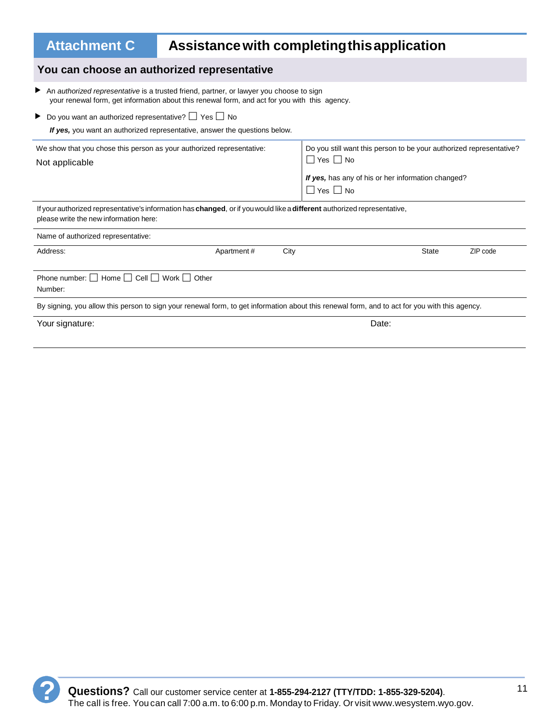| <b>Attachment C</b>                                                                                                                                                | Assistance with completing this application                                                   |      |                                                                                                                                               |  |          |  |
|--------------------------------------------------------------------------------------------------------------------------------------------------------------------|-----------------------------------------------------------------------------------------------|------|-----------------------------------------------------------------------------------------------------------------------------------------------|--|----------|--|
| You can choose an authorized representative                                                                                                                        |                                                                                               |      |                                                                                                                                               |  |          |  |
| An authorized representative is a trusted friend, partner, or lawyer you choose to sign                                                                            | your renewal form, get information about this renewal form, and act for you with this agency. |      |                                                                                                                                               |  |          |  |
| $\triangleright$ Do you want an authorized representative? $\square$ Yes $\square$ No                                                                              | If yes, you want an authorized representative, answer the questions below.                    |      |                                                                                                                                               |  |          |  |
| We show that you chose this person as your authorized representative:<br>Not applicable                                                                            |                                                                                               |      | Do you still want this person to be your authorized representative?<br>$\Box$ Yes $\Box$ No                                                   |  |          |  |
|                                                                                                                                                                    |                                                                                               |      | If yes, has any of his or her information changed?<br>$\square$ Yes $\square$ No                                                              |  |          |  |
| If your authorized representative's information has changed, or if you would like a different authorized representative,<br>please write the new information here: |                                                                                               |      |                                                                                                                                               |  |          |  |
| Name of authorized representative:                                                                                                                                 |                                                                                               |      |                                                                                                                                               |  |          |  |
| Address:                                                                                                                                                           | Apartment#                                                                                    | City | <b>State</b>                                                                                                                                  |  | ZIP code |  |
| Phone number: $\Box$ Home $\Box$ Cell $\Box$ Work $\Box$ Other<br>Number:                                                                                          |                                                                                               |      |                                                                                                                                               |  |          |  |
|                                                                                                                                                                    |                                                                                               |      | By signing, you allow this person to sign your renewal form, to get information about this renewal form, and to act for you with this agency. |  |          |  |
| Your signature:                                                                                                                                                    |                                                                                               |      | Date:                                                                                                                                         |  |          |  |